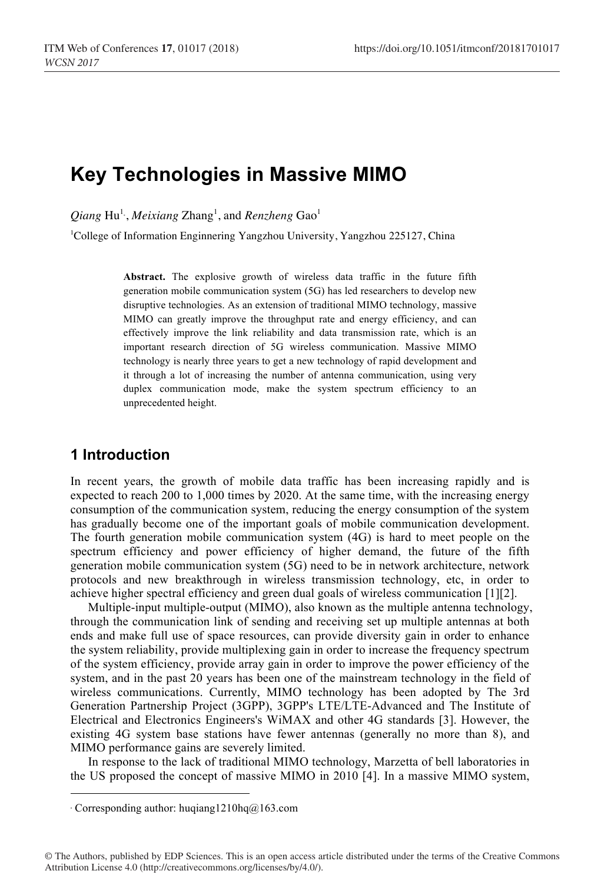# **Key Technologies in Massive MIMO**

 $\mathcal{Q}$ *iang* Hu<sup>1.</sup>, *Meixiang* Zhang<sup>1</sup>, and *Renzheng* Gao<sup>1</sup>

<sup>1</sup>College of Information Enginnering Yangzhou University, Yangzhou 225127, China

**Abstract.** The explosive growth of wireless data traffic in the future fifth generation mobile communication system (5G) has led researchers to develop new disruptive technologies. As an extension of traditional MIMO technology, massive MIMO can greatly improve the throughput rate and energy efficiency, and can effectively improve the link reliability and data transmission rate, which is an important research direction of 5G wireless communication. Massive MIMO technology is nearly three years to get a new technology of rapid development and it through a lot of increasing the number of antenna communication, using very duplex communication mode, make the system spectrum efficiency to an unprecedented height.

### **1 Introduction**

In recent years, the growth of mobile data traffic has been increasing rapidly and is expected to reach 200 to 1,000 times by 2020. At the same time, with the increasing energy consumption of the communication system, reducing the energy consumption of the system has gradually become one of the important goals of mobile communication development. The fourth generation mobile communication system (4G) is hard to meet people on the spectrum efficiency and power efficiency of higher demand, the future of the fifth generation mobile communication system (5G) need to be in network architecture, network protocols and new breakthrough in wireless transmission technology, etc, in order to achieve higher spectral efficiency and green dual goals of wireless communication [1][2].

Multiple-input multiple-output (MIMO), also known as the multiple antenna technology, through the communication link of sending and receiving set up multiple antennas at both ends and make full use of space resources, can provide diversity gain in order to enhance the system reliability, provide multiplexing gain in order to increase the frequency spectrum of the system efficiency, provide array gain in order to improve the power efficiency of the system, and in the past 20 years has been one of the mainstream technology in the field of wireless communications. Currently, MIMO technology has been adopted by The 3rd Generation Partnership Project (3GPP), 3GPP's LTE/LTE-Advanced and The Institute of Electrical and Electronics Engineers's WiMAX and other 4G standards [3]. However, the existing 4G system base stations have fewer antennas (generally no more than 8), and MIMO performance gains are severely limited.

In response to the lack of traditional MIMO technology, Marzetta of bell laboratories in the US proposed the concept of massive MIMO in 2010 [4]. In a massive MIMO system,

 $\overline{a}$ 

<sup>∗</sup> Corresponding author: huqiang1210hq@163.com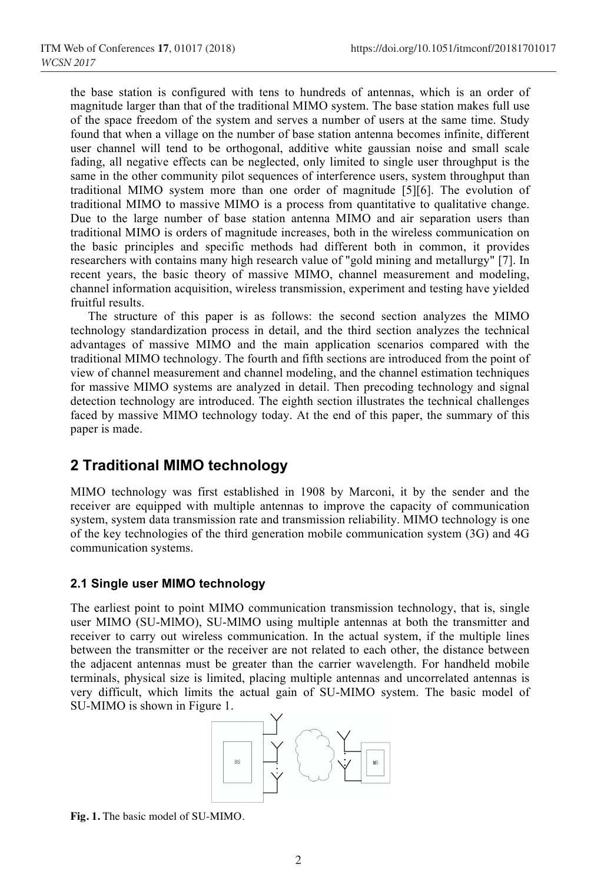the base station is configured with tens to hundreds of antennas, which is an order of magnitude larger than that of the traditional MIMO system. The base station makes full use of the space freedom of the system and serves a number of users at the same time. Study found that when a village on the number of base station antenna becomes infinite, different user channel will tend to be orthogonal, additive white gaussian noise and small scale fading, all negative effects can be neglected, only limited to single user throughput is the same in the other community pilot sequences of interference users, system throughput than traditional MIMO system more than one order of magnitude [5][6]. The evolution of traditional MIMO to massive MIMO is a process from quantitative to qualitative change. Due to the large number of base station antenna MIMO and air separation users than traditional MIMO is orders of magnitude increases, both in the wireless communication on the basic principles and specific methods had different both in common, it provides researchers with contains many high research value of "gold mining and metallurgy" [7]. In recent years, the basic theory of massive MIMO, channel measurement and modeling, channel information acquisition, wireless transmission, experiment and testing have yielded fruitful results.

The structure of this paper is as follows: the second section analyzes the MIMO technology standardization process in detail, and the third section analyzes the technical advantages of massive MIMO and the main application scenarios compared with the traditional MIMO technology. The fourth and fifth sections are introduced from the point of view of channel measurement and channel modeling, and the channel estimation techniques for massive MIMO systems are analyzed in detail. Then precoding technology and signal detection technology are introduced. The eighth section illustrates the technical challenges faced by massive MIMO technology today. At the end of this paper, the summary of this paper is made.

# **2 Traditional MIMO technology**

MIMO technology was first established in 1908 by Marconi, it by the sender and the receiver are equipped with multiple antennas to improve the capacity of communication system, system data transmission rate and transmission reliability. MIMO technology is one of the key technologies of the third generation mobile communication system (3G) and 4G communication systems.

#### **2.1 Single user MIMO technology**

The earliest point to point MIMO communication transmission technology, that is, single user MIMO (SU-MlMO), SU-MlMO using multiple antennas at both the transmitter and receiver to carry out wireless communication. In the actual system, if the multiple lines between the transmitter or the receiver are not related to each other, the distance between the adjacent antennas must be greater than the carrier wavelength. For handheld mobile terminals, physical size is limited, placing multiple antennas and uncorrelated antennas is very difficult, which limits the actual gain of SU-MIMO system. The basic model of SU-MIMO is shown in Figure 1.



**Fig. 1.** The basic model of SU-MIMO.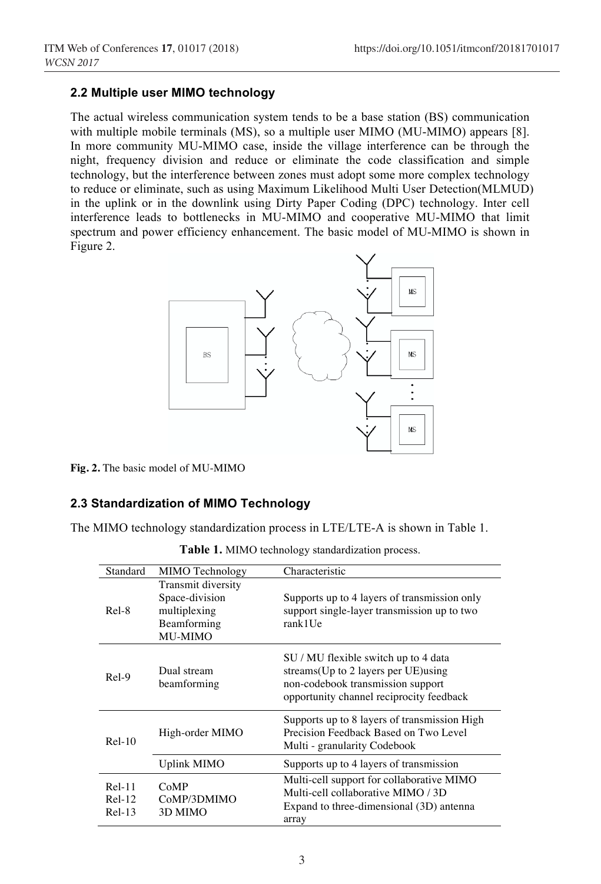#### **2.2 Multiple user MIMO technology**

The actual wireless communication system tends to be a base station (BS) communication with multiple mobile terminals (MS), so a multiple user MIMO (MU-MIMO) appears [8]. In more community MU-MIMO case, inside the village interference can be through the night, frequency division and reduce or eliminate the code classification and simple technology, but the interference between zones must adopt some more complex technology to reduce or eliminate, such as using Maximum Likelihood Multi User Detection(MLMUD) in the uplink or in the downlink using Dirty Paper Coding (DPC) technology. Inter cell interference leads to bottlenecks in MU-MIMO and cooperative MU-MIMO that limit spectrum and power efficiency enhancement. The basic model of MU-MIMO is shown in Figure 2.



**Fig. 2.** The basic model of MU-MIMO

#### **2.3 Standardization of MIMO Technology**

The MIMO technology standardization process in LTE/LTE-A is shown in Table 1.

| Standard                         | MIMO Technology                                                                | Characteristic                                                                                                                                                |
|----------------------------------|--------------------------------------------------------------------------------|---------------------------------------------------------------------------------------------------------------------------------------------------------------|
| Rel-8                            | Transmit diversity<br>Space-division<br>multiplexing<br>Beamforming<br>MU-MIMO | Supports up to 4 layers of transmission only<br>support single-layer transmission up to two<br>rank1Ue                                                        |
| $Rel-9$                          | Dual stream<br>beamforming                                                     | SU / MU flexible switch up to 4 data<br>streams(Up to 2 layers per UE) using<br>non-codebook transmission support<br>opportunity channel reciprocity feedback |
| $Rel-10$                         | High-order MIMO                                                                | Supports up to 8 layers of transmission High<br>Precision Feedback Based on Two Level<br>Multi - granularity Codebook                                         |
|                                  | Uplink MIMO                                                                    | Supports up to 4 layers of transmission                                                                                                                       |
| $ReI-11$<br>$ReI-12$<br>$ReI-13$ | CoMP<br>CoMP/3DMIMO<br>3D MIMO                                                 | Multi-cell support for collaborative MIMO<br>Multi-cell collaborative MIMO / 3D<br>Expand to three-dimensional (3D) antenna<br>array                          |

**Table 1.** MIMO technology standardization process.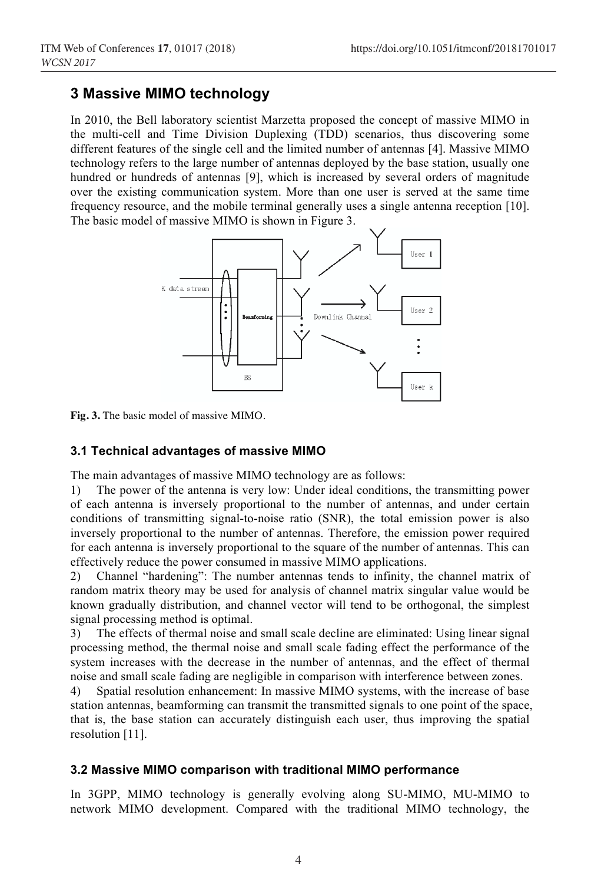### **3 Massive MIMO technology**

In 2010, the Bell laboratory scientist Marzetta proposed the concept of massive MIMO in the multi-cell and Time Division Duplexing (TDD) scenarios, thus discovering some different features of the single cell and the limited number of antennas [4]. Massive MIMO technology refers to the large number of antennas deployed by the base station, usually one hundred or hundreds of antennas [9], which is increased by several orders of magnitude over the existing communication system. More than one user is served at the same time frequency resource, and the mobile terminal generally uses a single antenna reception [10]. The basic model of massive MIMO is shown in Figure 3.



**Fig. 3.** The basic model of massive MIMO.

#### **3.1 Technical advantages of massive MIMO**

The main advantages of massive MIMO technology are as follows:

1) The power of the antenna is very low: Under ideal conditions, the transmitting power of each antenna is inversely proportional to the number of antennas, and under certain conditions of transmitting signal-to-noise ratio (SNR), the total emission power is also inversely proportional to the number of antennas. Therefore, the emission power required for each antenna is inversely proportional to the square of the number of antennas. This can effectively reduce the power consumed in massive MIMO applications.

2) Channel "hardening": The number antennas tends to infinity, the channel matrix of random matrix theory may be used for analysis of channel matrix singular value would be known gradually distribution, and channel vector will tend to be orthogonal, the simplest signal processing method is optimal.

3) The effects of thermal noise and small scale decline are eliminated: Using linear signal processing method, the thermal noise and small scale fading effect the performance of the system increases with the decrease in the number of antennas, and the effect of thermal noise and small scale fading are negligible in comparison with interference between zones.

4) Spatial resolution enhancement: In massive MIMO systems, with the increase of base station antennas, beamforming can transmit the transmitted signals to one point of the space, that is, the base station can accurately distinguish each user, thus improving the spatial resolution [11].

#### **3.2 Massive MIMO comparison with traditional MIMO performance**

In 3GPP, MIMO technology is generally evolving along SU-MIMO, MU-MIMO to network MIMO development. Compared with the traditional MIMO technology, the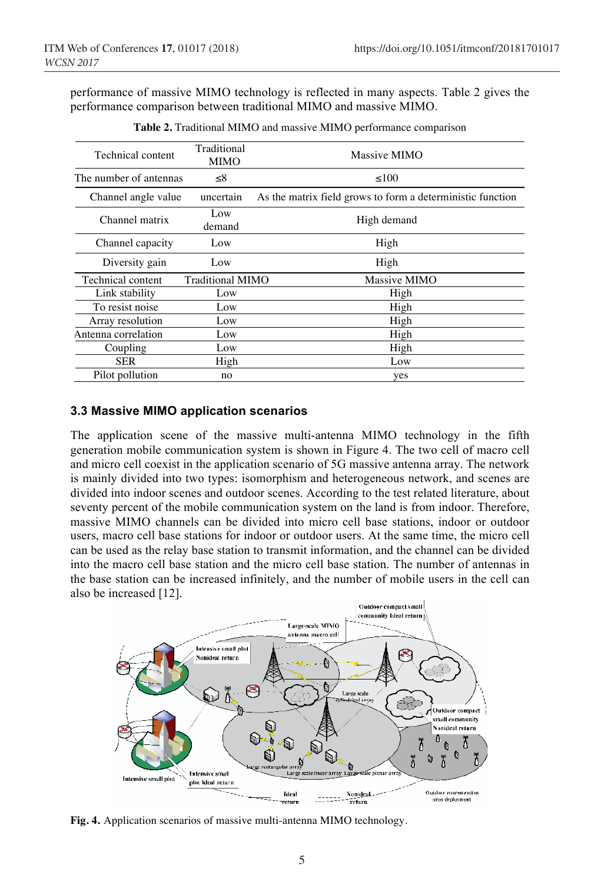performance of massive MIMO technology is reflected in many aspects. Table 2 gives the performance comparison between traditional MIMO and massive MIMO.

| Traditional<br><b>MIMO</b>         | Massive MIMO                                               |
|------------------------------------|------------------------------------------------------------|
| The number of antennas<br>$\leq$ 8 | < 100                                                      |
| uncertain                          | As the matrix field grows to form a deterministic function |
| Low<br>demand                      | High demand                                                |
| Low                                | High                                                       |
| Low                                | High                                                       |
|                                    | Massive MIMO                                               |
| Low                                | High                                                       |
| Low                                | High                                                       |
| Low                                | High                                                       |
| Low                                | High                                                       |
| Low                                | High                                                       |
| High                               | Low                                                        |
| no                                 | yes                                                        |
|                                    | Traditional MIMO                                           |

**Table 2.** Traditional MIMO and massive MIMO performance comparison

#### **3.3 Massive MIMO application scenarios**

The application scene of the massive multi-antenna MIMO technology in the fifth generation mobile communication system is shown in Figure 4. The two cell of macro cell and micro cell coexist in the application scenario of 5G massive antenna array. The network is mainly divided into two types: isomorphism and heterogeneous network, and scenes are divided into indoor scenes and outdoor scenes. According to the test related literature, about seventy percent of the mobile communication system on the land is from indoor. Therefore, massive MIMO channels can be divided into micro cell base stations, indoor or outdoor users, macro cell base stations for indoor or outdoor users. At the same time, the micro cell can be used as the relay base station to transmit information, and the channel can be divided into the macro cell base station and the micro cell base station. The number of antennas in the base station can be increased infinitely, and the number of mobile users in the cell can also be increased [12].



**Fig. 4.** Application scenarios of massive multi-antenna MIMO technology.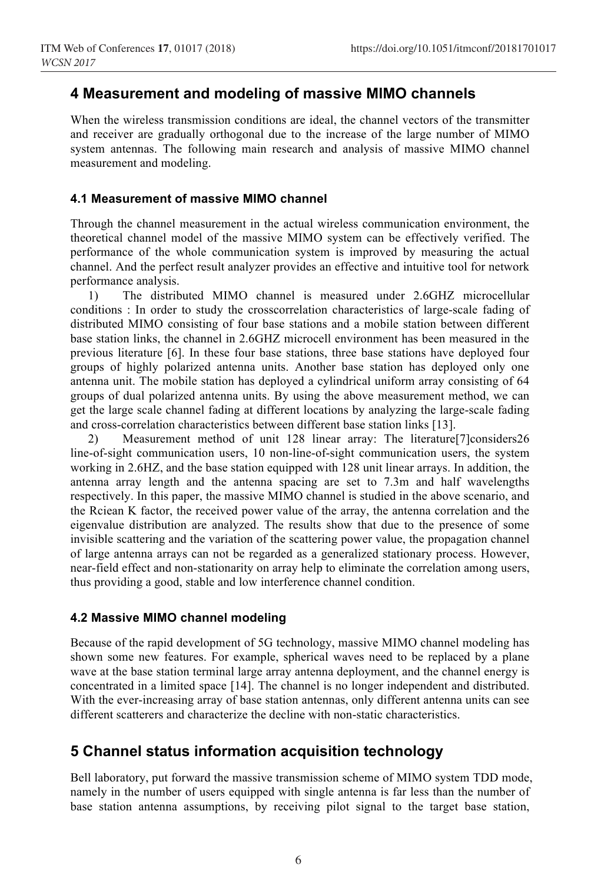### **4 Measurement and modeling of massive MIMO channels**

When the wireless transmission conditions are ideal, the channel vectors of the transmitter and receiver are gradually orthogonal due to the increase of the large number of MIMO system antennas. The following main research and analysis of massive MIMO channel measurement and modeling.

#### **4.1 Measurement of massive MIMO channel**

Through the channel measurement in the actual wireless communication environment, the theoretical channel model of the massive MIMO system can be effectively verified. The performance of the whole communication system is improved by measuring the actual channel. And the perfect result analyzer provides an effective and intuitive tool for network performance analysis.

1) The distributed MIMO channel is measured under 2.6GHZ microcellular conditions : In order to study the crosscorrelation characteristics of large-scale fading of distributed MIMO consisting of four base stations and a mobile station between different base station links, the channel in 2.6GHZ microcell environment has been measured in the previous literature [6]. In these four base stations, three base stations have deployed four groups of highly polarized antenna units. Another base station has deployed only one antenna unit. The mobile station has deployed a cylindrical uniform array consisting of 64 groups of dual polarized antenna units. By using the above measurement method, we can get the large scale channel fading at different locations by analyzing the large-scale fading and cross-correlation characteristics between different base station links [13].

2) Measurement method of unit 128 linear array: The literature[7]considers26 line-of-sight communication users, 10 non-line-of-sight communication users, the system working in 2.6HZ, and the base station equipped with 128 unit linear arrays. In addition, the antenna array length and the antenna spacing are set to 7.3m and half wavelengths respectively. In this paper, the massive MIMO channel is studied in the above scenario, and the Rciean K factor, the received power value of the array, the antenna correlation and the eigenvalue distribution are analyzed. The results show that due to the presence of some invisible scattering and the variation of the scattering power value, the propagation channel of large antenna arrays can not be regarded as a generalized stationary process. However, near-field effect and non-stationarity on array help to eliminate the correlation among users, thus providing a good, stable and low interference channel condition.

#### **4.2 Massive MIMO channel modeling**

Because of the rapid development of 5G technology, massive MIMO channel modeling has shown some new features. For example, spherical waves need to be replaced by a plane wave at the base station terminal large array antenna deployment, and the channel energy is concentrated in a limited space [14]. The channel is no longer independent and distributed. With the ever-increasing array of base station antennas, only different antenna units can see different scatterers and characterize the decline with non-static characteristics.

# **5 Channel status information acquisition technology**

Bell laboratory, put forward the massive transmission scheme of MIMO system TDD mode, namely in the number of users equipped with single antenna is far less than the number of base station antenna assumptions, by receiving pilot signal to the target base station,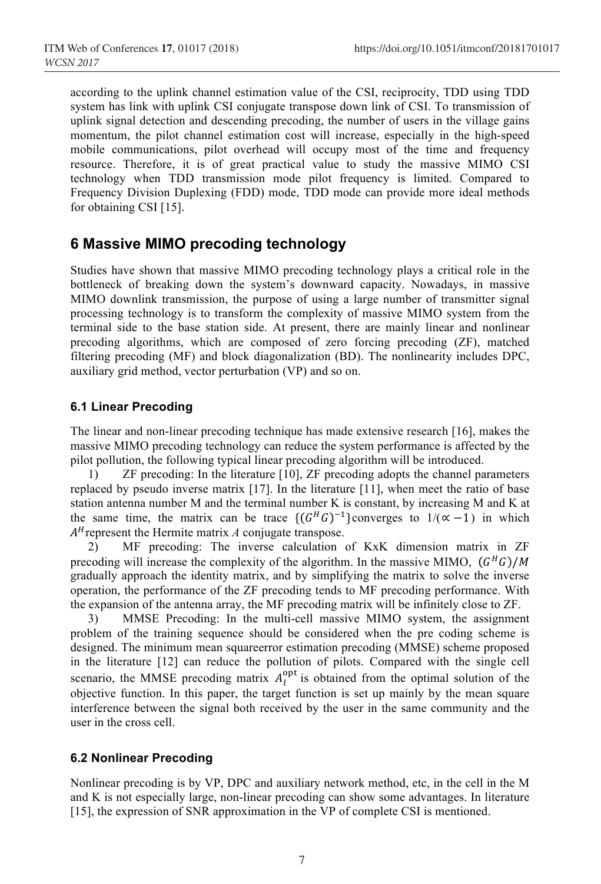according to the uplink channel estimation value of the CSI, reciprocity, TDD using TDD system has link with uplink CSI conjugate transpose down link of CSI. To transmission of uplink signal detection and descending precoding, the number of users in the village gains momentum, the pilot channel estimation cost will increase, especially in the high-speed mobile communications, pilot overhead will occupy most of the time and frequency resource. Therefore, it is of great practical value to study the massive MIMO CSI technology when TDD transmission mode pilot frequency is limited. Compared to Frequency Division Duplexing (FDD) mode, TDD mode can provide more ideal methods for obtaining CSI [15].

# **6 Massive MIMO precoding technology**

Studies have shown that massive MIMO precoding technology plays a critical role in the bottleneck of breaking down the system's downward capacity. Nowadays, in massive MIMO downlink transmission, the purpose of using a large number of transmitter signal processing technology is to transform the complexity of massive MIMO system from the terminal side to the base station side. At present, there are mainly linear and nonlinear precoding algorithms, which are composed of zero forcing precoding (ZF), matched filtering precoding (MF) and block diagonalization (BD). The nonlinearity includes DPC, auxiliary grid method, vector perturbation (VP) and so on.

### **6.1 Linear Precoding**

The linear and non-linear precoding technique has made extensive research [16], makes the massive MIMO precoding technology can reduce the system performance is affected by the pilot pollution, the following typical linear precoding algorithm will be introduced.

1) ZF precoding: In the literature [10], ZF precoding adopts the channel parameters replaced by pseudo inverse matrix [17]. In the literature [11], when meet the ratio of base station antenna number M and the terminal number K is constant, by increasing M and K at the same time, the matrix can be trace  $\{ (G^H G)^{-1} \}$ converges to  $1/(\alpha -1)$  in which  $A<sup>H</sup>$  represent the Hermite matrix *A* conjugate transpose.<br>2) MF precoding: The inverse calculation

2) MF precoding: The inverse calculation of KxK dimension matrix in ZF precoding will increase the complexity of the algorithm. In the massive MIMO,  $(G^HG)/M$ gradually approach the identity matrix, and by simplifying the matrix to solve the inverse operation, the performance of the ZF precoding tends to MF precoding performance. With the expansion of the antenna array, the MF precoding matrix will be infinitely close to ZF.

3) MMSE Precoding: In the multi-cell massive MIMO system, the assignment problem of the training sequence should be considered when the pre coding scheme is designed. The minimum mean squareerror estimation precoding (MMSE) scheme proposed in the literature [12] can reduce the pollution of pilots. Compared with the single cell scenario, the MMSE precoding matrix  $A_l^{\text{opt}}$  is obtained from the optimal solution of the objective function. In this paper, the target function is set up mainly by the mean square interference between the signal both received by the user in the same community and the user in the cross cell.

#### **6.2 Nonlinear Precoding**

Nonlinear precoding is by VP, DPC and auxiliary network method, etc, in the cell in the M and K is not especially large, non-linear precoding can show some advantages. In literature [15], the expression of SNR approximation in the VP of complete CSI is mentioned.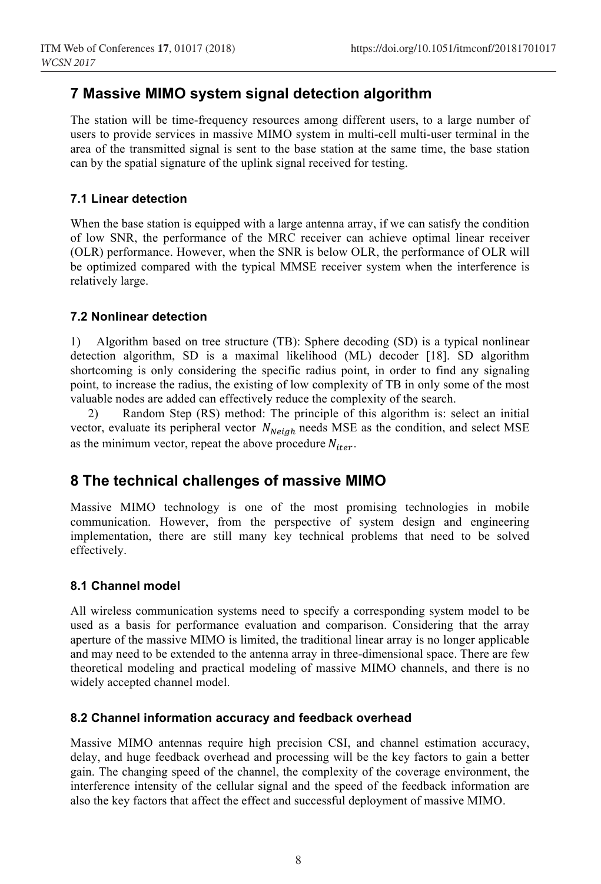# **7 Massive MIMO system signal detection algorithm**

The station will be time-frequency resources among different users, to a large number of users to provide services in massive MIMO system in multi-cell multi-user terminal in the area of the transmitted signal is sent to the base station at the same time, the base station can by the spatial signature of the uplink signal received for testing.

### **7.1 Linear detection**

When the base station is equipped with a large antenna array, if we can satisfy the condition of low SNR, the performance of the MRC receiver can achieve optimal linear receiver (OLR) performance. However, when the SNR is below OLR, the performance of OLR will be optimized compared with the typical MMSE receiver system when the interference is relatively large.

### **7.2 Nonlinear detection**

1) Algorithm based on tree structure (TB): Sphere decoding (SD) is a typical nonlinear detection algorithm, SD is a maximal likelihood (ML) decoder [18]. SD algorithm shortcoming is only considering the specific radius point, in order to find any signaling point, to increase the radius, the existing of low complexity of TB in only some of the most valuable nodes are added can effectively reduce the complexity of the search.

2) Random Step (RS) method: The principle of this algorithm is: select an initial vector, evaluate its peripheral vector  $N_{\text{Neiah}}$  needs MSE as the condition, and select MSE as the minimum vector, repeat the above procedure  $N_{iter}$ .

# **8 The technical challenges of massive MIMO**

Massive MIMO technology is one of the most promising technologies in mobile communication. However, from the perspective of system design and engineering implementation, there are still many key technical problems that need to be solved effectively.

#### **8.1 Channel model**

All wireless communication systems need to specify a corresponding system model to be used as a basis for performance evaluation and comparison. Considering that the array aperture of the massive MIMO is limited, the traditional linear array is no longer applicable and may need to be extended to the antenna array in three-dimensional space. There are few theoretical modeling and practical modeling of massive MIMO channels, and there is no widely accepted channel model.

#### **8.2 Channel information accuracy and feedback overhead**

Massive MIMO antennas require high precision CSI, and channel estimation accuracy, delay, and huge feedback overhead and processing will be the key factors to gain a better gain. The changing speed of the channel, the complexity of the coverage environment, the interference intensity of the cellular signal and the speed of the feedback information are also the key factors that affect the effect and successful deployment of massive MIMO.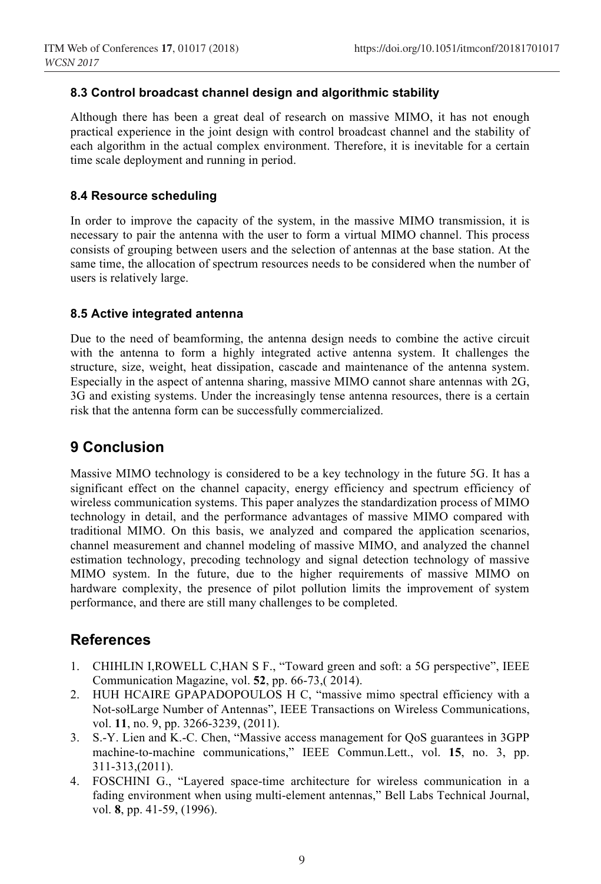#### **8.3 Control broadcast channel design and algorithmic stability**

Although there has been a great deal of research on massive MIMO, it has not enough practical experience in the joint design with control broadcast channel and the stability of each algorithm in the actual complex environment. Therefore, it is inevitable for a certain time scale deployment and running in period.

### **8.4 Resource scheduling**

In order to improve the capacity of the system, in the massive MIMO transmission, it is necessary to pair the antenna with the user to form a virtual MIMO channel. This process consists of grouping between users and the selection of antennas at the base station. At the same time, the allocation of spectrum resources needs to be considered when the number of users is relatively large.

#### **8.5 Active integrated antenna**

Due to the need of beamforming, the antenna design needs to combine the active circuit with the antenna to form a highly integrated active antenna system. It challenges the structure, size, weight, heat dissipation, cascade and maintenance of the antenna system. Especially in the aspect of antenna sharing, massive MIMO cannot share antennas with 2G, 3G and existing systems. Under the increasingly tense antenna resources, there is a certain risk that the antenna form can be successfully commercialized.

# **9 Conclusion**

Massive MIMO technology is considered to be a key technology in the future 5G. It has a significant effect on the channel capacity, energy efficiency and spectrum efficiency of wireless communication systems. This paper analyzes the standardization process of MIMO technology in detail, and the performance advantages of massive MIMO compared with traditional MIMO. On this basis, we analyzed and compared the application scenarios, channel measurement and channel modeling of massive MIMO, and analyzed the channel estimation technology, precoding technology and signal detection technology of massive MIMO system. In the future, due to the higher requirements of massive MIMO on hardware complexity, the presence of pilot pollution limits the improvement of system performance, and there are still many challenges to be completed.

### **References**

- 1. CHIHLIN I,ROWELL C,HAN S F., "Toward green and soft: a 5G perspective", IEEE Communication Magazine, vol. **52**, pp. 66-73,( 2014).
- 2. HUH HCAIRE GPAPADOPOULOS H C, "massive mimo spectral efficiency with a Not-sołLarge Number of Antennas", IEEE Transactions on Wireless Communications, vol. **11**, no. 9, pp. 3266-3239, (2011).
- 3. S.-Y. Lien and K.-C. Chen, "Massive access management for QoS guarantees in 3GPP machine-to-machine communications," IEEE Commun.Lett., vol. **15**, no. 3, pp. 311-313,(2011).
- 4. FOSCHINI G., "Layered space-time architecture for wireless communication in a fading environment when using multi-element antennas," Bell Labs Technical Journal, vol. **8**, pp. 41-59, (1996).